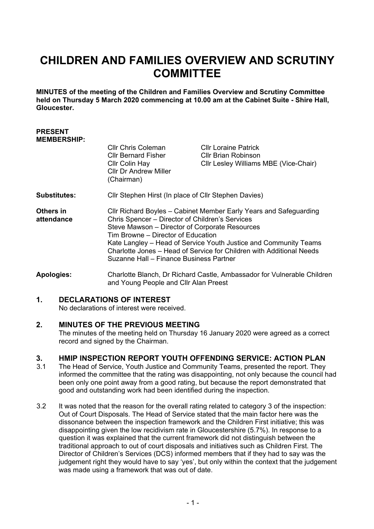### **CHILDREN AND FAMILIES OVERVIEW AND SCRUTINY COMMITTEE**

**MINUTES of the meeting of the Children and Families Overview and Scrutiny Committee held on Thursday 5 March 2020 commencing at 10.00 am at the Cabinet Suite - Shire Hall, Gloucester.**

#### **PRESENT MEMBERSHIP:**

|                                | <b>CIIr Chris Coleman</b><br><b>Cllr Bernard Fisher</b><br>Cllr Colin Hay<br><b>Cllr Dr Andrew Miller</b><br>(Chairman)                                                                                                                                                                                                                                                                             | <b>CIIr Loraine Patrick</b><br><b>CIIr Brian Robinson</b><br>CIIr Lesley Williams MBE (Vice-Chair) |
|--------------------------------|-----------------------------------------------------------------------------------------------------------------------------------------------------------------------------------------------------------------------------------------------------------------------------------------------------------------------------------------------------------------------------------------------------|----------------------------------------------------------------------------------------------------|
| <b>Substitutes:</b>            | Cllr Stephen Hirst (In place of Cllr Stephen Davies)                                                                                                                                                                                                                                                                                                                                                |                                                                                                    |
| <b>Others in</b><br>attendance | Cllr Richard Boyles – Cabinet Member Early Years and Safeguarding<br>Chris Spencer - Director of Children's Services<br>Steve Mawson – Director of Corporate Resources<br>Tim Browne – Director of Education<br>Kate Langley - Head of Service Youth Justice and Community Teams<br>Charlotte Jones - Head of Service for Children with Additional Needs<br>Suzanne Hall – Finance Business Partner |                                                                                                    |

**Apologies:** Charlotte Blanch, Dr Richard Castle, Ambassador for Vulnerable Children and Young People and Cllr Alan Preest

#### **1. DECLARATIONS OF INTEREST**

No declarations of interest were received.

#### **2. MINUTES OF THE PREVIOUS MEETING**

The minutes of the meeting held on Thursday 16 January 2020 were agreed as a correct record and signed by the Chairman.

## **3. HMIP INSPECTION REPORT YOUTH OFFENDING SERVICE: ACTION PLAN**

- The Head of Service, Youth Justice and Community Teams, presented the report. They informed the committee that the rating was disappointing, not only because the council had been only one point away from a good rating, but because the report demonstrated that good and outstanding work had been identified during the inspection.
- 3.2 It was noted that the reason for the overall rating related to category 3 of the inspection: Out of Court Disposals. The Head of Service stated that the main factor here was the dissonance between the inspection framework and the Children First initiative; this was disappointing given the low recidivism rate in Gloucestershire (5.7%). In response to a question it was explained that the current framework did not distinguish between the traditional approach to out of court disposals and initiatives such as Children First. The Director of Children's Services (DCS) informed members that if they had to say was the judgement right they would have to say 'yes', but only within the context that the judgement was made using a framework that was out of date.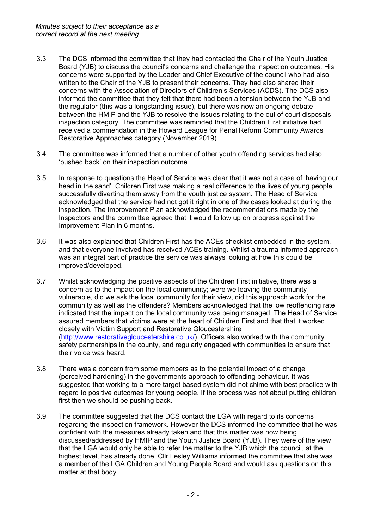- 3.3 The DCS informed the committee that they had contacted the Chair of the Youth Justice Board (YJB) to discuss the council's concerns and challenge the inspection outcomes. His concerns were supported by the Leader and Chief Executive of the council who had also written to the Chair of the YJB to present their concerns. They had also shared their concerns with the Association of Directors of Children's Services (ACDS). The DCS also informed the committee that they felt that there had been a tension between the YJB and the regulator (this was a longstanding issue), but there was now an ongoing debate between the HMIP and the YJB to resolve the issues relating to the out of court disposals inspection category. The committee was reminded that the Children First initiative had received a commendation in the Howard League for Penal Reform Community Awards Restorative Approaches category (November 2019).
- 3.4 The committee was informed that a number of other youth offending services had also 'pushed back' on their inspection outcome.
- 3.5 In response to questions the Head of Service was clear that it was not a case of 'having our head in the sand'. Children First was making a real difference to the lives of young people, successfully diverting them away from the youth justice system. The Head of Service acknowledged that the service had not got it right in one of the cases looked at during the inspection. The Improvement Plan acknowledged the recommendations made by the Inspectors and the committee agreed that it would follow up on progress against the Improvement Plan in 6 months.
- 3.6 It was also explained that Children First has the ACEs checklist embedded in the system, and that everyone involved has received ACEs training. Whilst a trauma informed approach was an integral part of practice the service was always looking at how this could be improved/developed.
- 3.7 Whilst acknowledging the positive aspects of the Children First initiative, there was a concern as to the impact on the local community; were we leaving the community vulnerable, did we ask the local community for their view, did this approach work for the community as well as the offenders? Members acknowledged that the low reoffending rate indicated that the impact on the local community was being managed. The Head of Service assured members that victims were at the heart of Children First and that that it worked closely with Victim Support and Restorative Gloucestershire [\(http://www.restorativegloucestershire.co.uk/\)](http://www.restorativegloucestershire.co.uk/). Officers also worked with the community safety partnerships in the county, and regularly engaged with communities to ensure that their voice was heard.
- 3.8 There was a concern from some members as to the potential impact of a change (perceived hardening) in the governments approach to offending behaviour. It was suggested that working to a more target based system did not chime with best practice with regard to positive outcomes for young people. If the process was not about putting children first then we should be pushing back.
- 3.9 The committee suggested that the DCS contact the LGA with regard to its concerns regarding the inspection framework. However the DCS informed the committee that he was confident with the measures already taken and that this matter was now being discussed/addressed by HMIP and the Youth Justice Board (YJB). They were of the view that the LGA would only be able to refer the matter to the YJB which the council, at the highest level, has already done. Cllr Lesley Williams informed the committee that she was a member of the LGA Children and Young People Board and would ask questions on this matter at that body.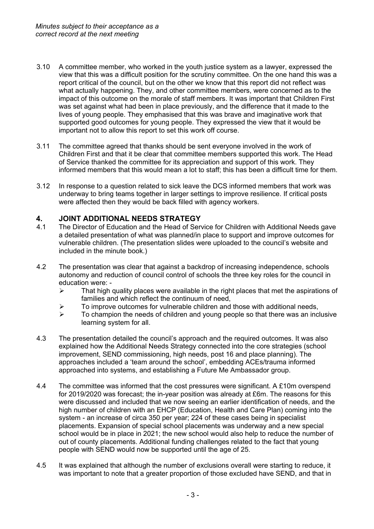- 3.10 A committee member, who worked in the youth justice system as a lawyer, expressed the view that this was a difficult position for the scrutiny committee. On the one hand this was a report critical of the council, but on the other we know that this report did not reflect was what actually happening. They, and other committee members, were concerned as to the impact of this outcome on the morale of staff members. It was important that Children First was set against what had been in place previously, and the difference that it made to the lives of young people. They emphasised that this was brave and imaginative work that supported good outcomes for young people. They expressed the view that it would be important not to allow this report to set this work off course.
- 3.11 The committee agreed that thanks should be sent everyone involved in the work of Children First and that it be clear that committee members supported this work. The Head of Service thanked the committee for its appreciation and support of this work. They informed members that this would mean a lot to staff; this has been a difficult time for them.
- 3.12 In response to a question related to sick leave the DCS informed members that work was underway to bring teams together in larger settings to improve resilience. If critical posts were affected then they would be back filled with agency workers.

# **4. JOINT ADDITIONAL NEEDS STRATEGY**

- The Director of Education and the Head of Service for Children with Additional Needs gave a detailed presentation of what was planned/in place to support and improve outcomes for vulnerable children. (The presentation slides were uploaded to the council's website and included in the minute book.)
- 4.2 The presentation was clear that against a backdrop of increasing independence, schools autonomy and reduction of council control of schools the three key roles for the council in education were: -
	- $\triangleright$  That high quality places were available in the right places that met the aspirations of families and which reflect the continuum of need,
	- $\geq$  To improve outcomes for vulnerable children and those with additional needs,
	- $\triangleright$  To champion the needs of children and young people so that there was an inclusive learning system for all.
- 4.3 The presentation detailed the council's approach and the required outcomes. It was also explained how the Additional Needs Strategy connected into the core strategies (school improvement, SEND commissioning, high needs, post 16 and place planning). The approaches included a 'team around the school', embedding ACEs/trauma informed approached into systems, and establishing a Future Me Ambassador group.
- 4.4 The committee was informed that the cost pressures were significant. A £10m overspend for 2019/2020 was forecast; the in-year position was already at £6m. The reasons for this were discussed and included that we now seeing an earlier identification of needs, and the high number of children with an EHCP (Education, Health and Care Plan) coming into the system - an increase of circa 350 per year; 224 of these cases being in specialist placements. Expansion of special school placements was underway and a new special school would be in place in 2021; the new school would also help to reduce the number of out of county placements. Additional funding challenges related to the fact that young people with SEND would now be supported until the age of 25.
- 4.5 It was explained that although the number of exclusions overall were starting to reduce, it was important to note that a greater proportion of those excluded have SEND, and that in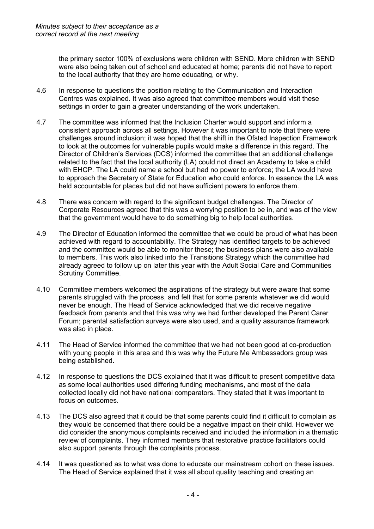the primary sector 100% of exclusions were children with SEND. More children with SEND were also being taken out of school and educated at home; parents did not have to report to the local authority that they are home educating, or why.

- 4.6 In response to questions the position relating to the Communication and Interaction Centres was explained. It was also agreed that committee members would visit these settings in order to gain a greater understanding of the work undertaken.
- 4.7 The committee was informed that the Inclusion Charter would support and inform a consistent approach across all settings. However it was important to note that there were challenges around inclusion; it was hoped that the shift in the Ofsted Inspection Framework to look at the outcomes for vulnerable pupils would make a difference in this regard. The Director of Children's Services (DCS) informed the committee that an additional challenge related to the fact that the local authority (LA) could not direct an Academy to take a child with EHCP. The LA could name a school but had no power to enforce; the LA would have to approach the Secretary of State for Education who could enforce. In essence the LA was held accountable for places but did not have sufficient powers to enforce them.
- 4.8 There was concern with regard to the significant budget challenges. The Director of Corporate Resources agreed that this was a worrying position to be in, and was of the view that the government would have to do something big to help local authorities.
- 4.9 The Director of Education informed the committee that we could be proud of what has been achieved with regard to accountability. The Strategy has identified targets to be achieved and the committee would be able to monitor these; the business plans were also available to members. This work also linked into the Transitions Strategy which the committee had already agreed to follow up on later this year with the Adult Social Care and Communities Scrutiny Committee.
- 4.10 Committee members welcomed the aspirations of the strategy but were aware that some parents struggled with the process, and felt that for some parents whatever we did would never be enough. The Head of Service acknowledged that we did receive negative feedback from parents and that this was why we had further developed the Parent Carer Forum; parental satisfaction surveys were also used, and a quality assurance framework was also in place.
- 4.11 The Head of Service informed the committee that we had not been good at co-production with young people in this area and this was why the Future Me Ambassadors group was being established.
- 4.12 In response to questions the DCS explained that it was difficult to present competitive data as some local authorities used differing funding mechanisms, and most of the data collected locally did not have national comparators. They stated that it was important to focus on outcomes.
- 4.13 The DCS also agreed that it could be that some parents could find it difficult to complain as they would be concerned that there could be a negative impact on their child. However we did consider the anonymous complaints received and included the information in a thematic review of complaints. They informed members that restorative practice facilitators could also support parents through the complaints process.
- 4.14 It was questioned as to what was done to educate our mainstream cohort on these issues. The Head of Service explained that it was all about quality teaching and creating an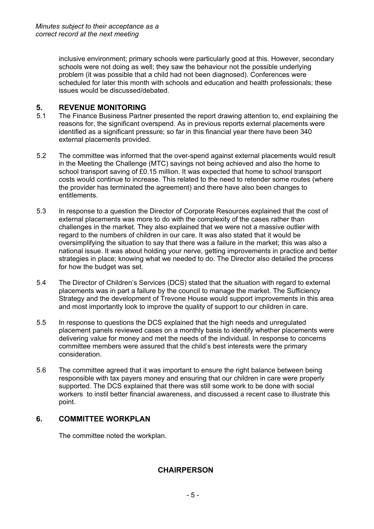inclusive environment; primary schools were particularly good at this. However, secondary schools were not doing as well; they saw the behaviour not the possible underlying problem (it was possible that a child had not been diagnosed). Conferences were scheduled for later this month with schools and education and health professionals; these issues would be discussed/debated.

# **5. REVENUE MONITORING**

- The Finance Business Partner presented the report drawing attention to, end explaining the reasons for, the significant overspend. As in previous reports external placements were identified as a significant pressure; so far in this financial year there have been 340 external placements provided.
- 5.2 The committee was informed that the over-spend against external placements would result in the Meeting the Challenge (MTC) savings not being achieved and also the home to school transport saving of £0.15 million. It was expected that home to school transport costs would continue to increase. This related to the need to retender some routes (where the provider has terminated the agreement) and there have also been changes to entitlements.
- 5.3 In response to a question the Director of Corporate Resources explained that the cost of external placements was more to do with the complexity of the cases rather than challenges in the market. They also explained that we were not a massive outlier with regard to the numbers of children in our care. It was also stated that it would be oversimplifying the situation to say that there was a failure in the market; this was also a national issue. It was about holding your nerve, getting improvements in practice and better strategies in place; knowing what we needed to do. The Director also detailed the process for how the budget was set.
- 5.4 The Director of Children's Services (DCS) stated that the situation with regard to external placements was in part a failure by the council to manage the market. The Sufficiency Strategy and the development of Trevone House would support improvements in this area and most importantly look to improve the quality of support to our children in care.
- 5.5 In response to questions the DCS explained that the high needs and unregulated placement panels reviewed cases on a monthly basis to identify whether placements were delivering value for money and met the needs of the individual. In response to concerns committee members were assured that the child's best interests were the primary consideration.
- 5.6 The committee agreed that it was important to ensure the right balance between being responsible with tax payers money and ensuring that our children in care were properly supported. The DCS explained that there was still some work to be done with social workers to instil better financial awareness, and discussed a recent case to illustrate this point.

### **6. COMMITTEE WORKPLAN**

The committee noted the workplan.

### **CHAIRPERSON**